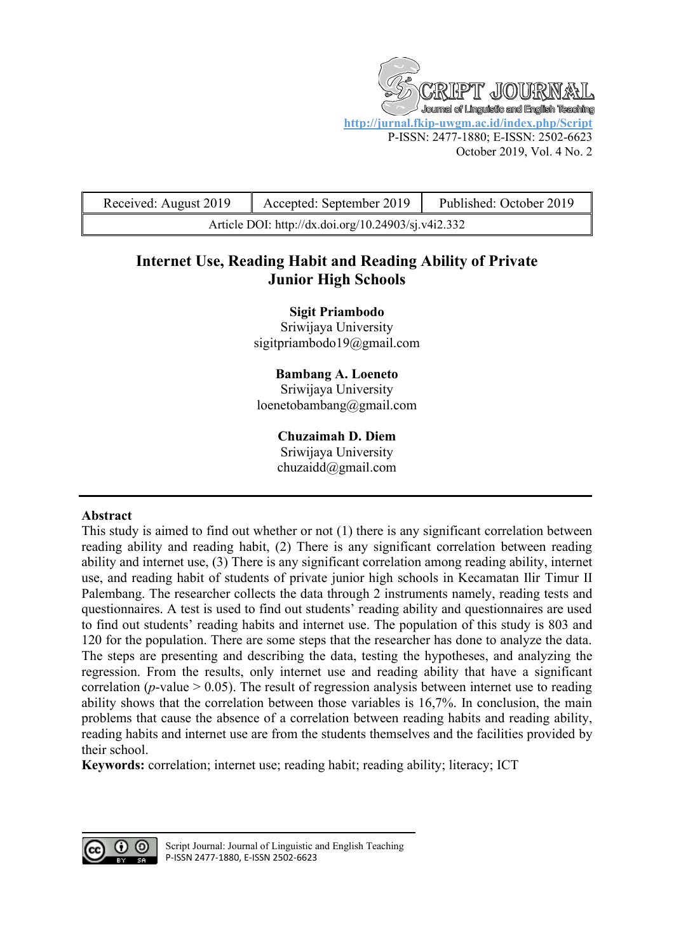T JOUR Journal of Linguistic and English Teaching **<http://jurnal.fkip-uwgm.ac.id/index.php/Script>** P-ISSN: 2477-1880; E-ISSN: 2502-6623 October 2019, Vol. 4 No. 2

| Received: August 2019                               | Accepted: September 2019 | Published: October 2019 |
|-----------------------------------------------------|--------------------------|-------------------------|
| Article DOI: http://dx.doi.org/10.24903/sj.v4i2.332 |                          |                         |

# **Internet Use, Reading Habit and Reading Ability of Private Junior High Schools**

**Sigit Priambodo**

Sriwijaya University [sigitpriambodo19@gmail.com](mailto:sigitpriambodo19@gmail.com)

**Bambang A. Loeneto** Sriwijaya University [loenetobambang@gmail.com](mailto:loenetobambang@gmail.com)

## **Chuzaimah D. Diem**

Sriwijaya University [chuzaidd@gmail.com](mailto:chuzaidd@gmail.com)

## **Abstract**

This study is aimed to find out whether or not (1) there is any significant correlation between reading ability and reading habit, (2) There is any significant correlation between reading ability and internet use, (3) There is any significant correlation among reading ability, internet use, and reading habit of students of private junior high schools in Kecamatan Ilir Timur II Palembang. The researcher collects the data through 2 instruments namely, reading tests and questionnaires. A test is used to find out students' reading ability and questionnaires are used to find out students' reading habits and internet use. The population of this study is 803 and 120 for the population. There are some steps that the researcher has done to analyze the data. The steps are presenting and describing the data, testing the hypotheses, and analyzing the regression. From the results, only internet use and reading ability that have a significant correlation ( $p$ -value  $> 0.05$ ). The result of regression analysis between internet use to reading ability shows that the correlation between those variables is 16,7%. In conclusion, the main problems that cause the absence of a correlation between reading habits and reading ability, reading habits and internet use are from the students themselves and the facilities provided by their school.

**Keywords:** correlation; internet use; reading habit; reading ability; literacy; ICT

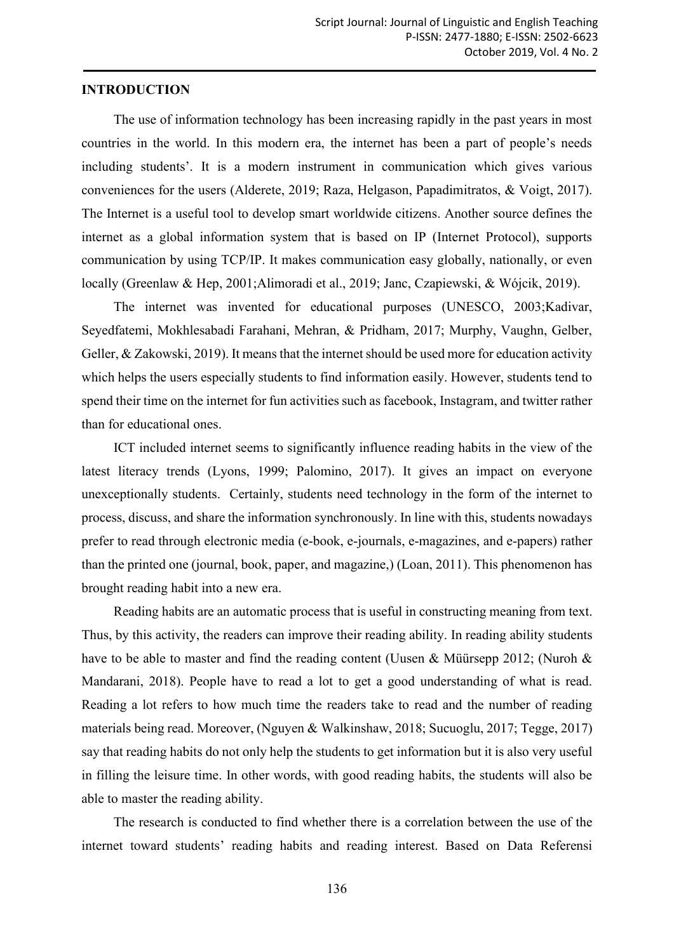#### **INTRODUCTION**

The use of information technology has been increasing rapidly in the past years in most countries in the world. In this modern era, the internet has been a part of people's needs including students'. It is a modern instrument in communication which gives various conveniences for the users (Alderete, 2019; Raza, Helgason, Papadimitratos, & Voigt, 2017). The Internet is a useful tool to develop smart worldwide citizens. Another source defines the internet as a global information system that is based on IP (Internet Protocol), supports communication by using TCP/IP. It makes communication easy globally, nationally, or even locally (Greenlaw & Hep, 2001;Alimoradi et al., 2019; Janc, Czapiewski, & Wójcik, 2019).

The internet was invented for educational purposes (UNESCO, 2003;Kadivar, Seyedfatemi, Mokhlesabadi Farahani, Mehran, & Pridham, 2017; Murphy, Vaughn, Gelber, Geller, & Zakowski, 2019). It means that the internet should be used more for education activity which helps the users especially students to find information easily. However, students tend to spend their time on the internet for fun activities such as facebook, Instagram, and twitter rather than for educational ones.

ICT included internet seems to significantly influence reading habits in the view of the latest literacy trends (Lyons, 1999; Palomino, 2017). It gives an impact on everyone unexceptionally students. Certainly, students need technology in the form of the internet to process, discuss, and share the information synchronously. In line with this, students nowadays prefer to read through electronic media (e-book, e-journals, e-magazines, and e-papers) rather than the printed one (journal, book, paper, and magazine,) (Loan, 2011). This phenomenon has brought reading habit into a new era.

Reading habits are an automatic process that is useful in constructing meaning from text. Thus, by this activity, the readers can improve their reading ability. In reading ability students have to be able to master and find the reading content (Uusen & Müürsepp 2012; (Nuroh & Mandarani, 2018). People have to read a lot to get a good understanding of what is read. Reading a lot refers to how much time the readers take to read and the number of reading materials being read. Moreover, (Nguyen & Walkinshaw, 2018; Sucuoglu, 2017; Tegge, 2017) say that reading habits do not only help the students to get information but it is also very useful in filling the leisure time. In other words, with good reading habits, the students will also be able to master the reading ability.

The research is conducted to find whether there is a correlation between the use of the internet toward students' reading habits and reading interest. Based on Data Referensi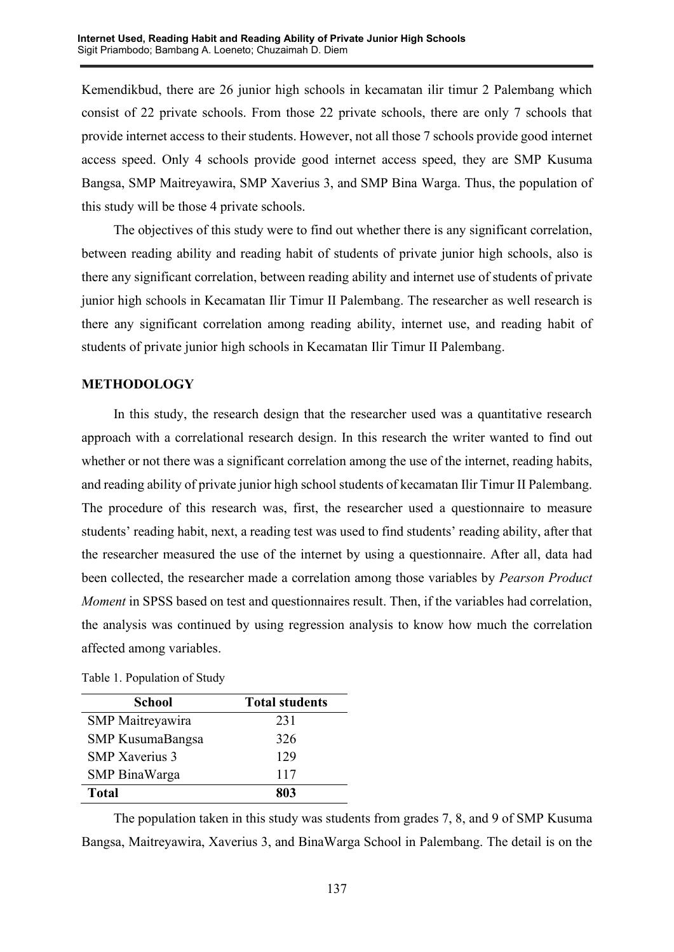Kemendikbud, there are 26 junior high schools in kecamatan ilir timur 2 Palembang which consist of 22 private schools. From those 22 private schools, there are only 7 schools that provide internet access to their students. However, not all those 7 schools provide good internet access speed. Only 4 schools provide good internet access speed, they are SMP Kusuma Bangsa, SMP Maitreyawira, SMP Xaverius 3, and SMP Bina Warga. Thus, the population of this study will be those 4 private schools.

The objectives of this study were to find out whether there is any significant correlation, between reading ability and reading habit of students of private junior high schools, also is there any significant correlation, between reading ability and internet use of students of private junior high schools in Kecamatan Ilir Timur II Palembang. The researcher as well research is there any significant correlation among reading ability, internet use, and reading habit of students of private junior high schools in Kecamatan Ilir Timur II Palembang.

# **METHODOLOGY**

In this study, the research design that the researcher used was a quantitative research approach with a correlational research design. In this research the writer wanted to find out whether or not there was a significant correlation among the use of the internet, reading habits, and reading ability of private junior high school students of kecamatan Ilir Timur II Palembang. The procedure of this research was, first, the researcher used a questionnaire to measure students' reading habit, next, a reading test was used to find students' reading ability, after that the researcher measured the use of the internet by using a questionnaire. After all, data had been collected, the researcher made a correlation among those variables by *Pearson Product Moment* in SPSS based on test and questionnaires result. Then, if the variables had correlation, the analysis was continued by using regression analysis to know how much the correlation affected among variables.

| <b>School</b>           | <b>Total students</b> |
|-------------------------|-----------------------|
| <b>SMP</b> Maitreyawira | 231                   |
| <b>SMP KusumaBangsa</b> | 326                   |
| <b>SMP</b> Xaverius 3   | 129                   |
| <b>SMP</b> BinaWarga    | 117                   |
| <b>Total</b>            | 803                   |

The population taken in this study was students from grades 7, 8, and 9 of SMP Kusuma Bangsa, Maitreyawira, Xaverius 3, and BinaWarga School in Palembang. The detail is on the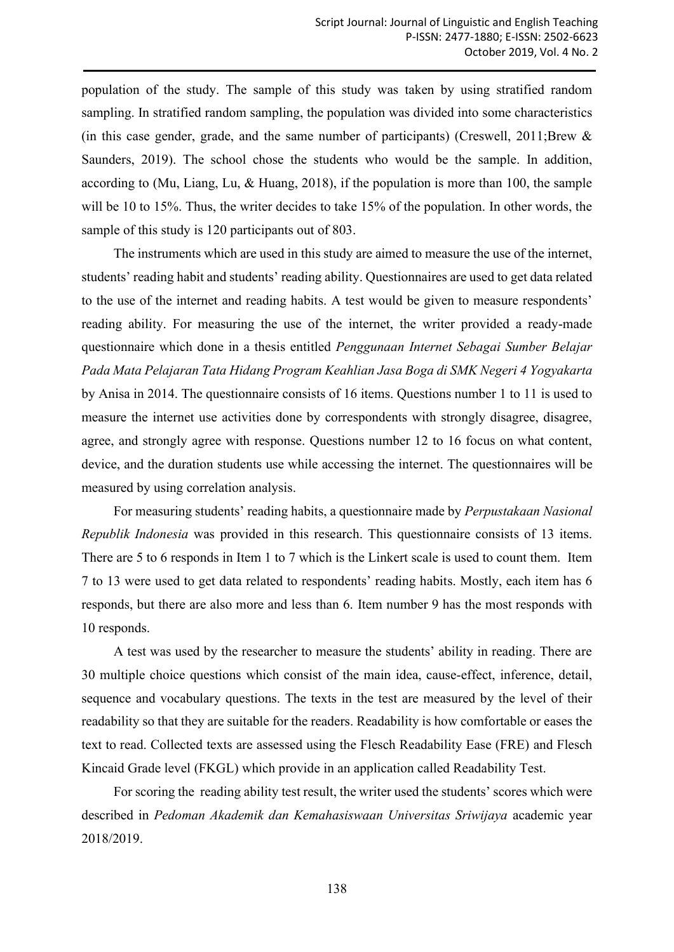population of the study. The sample of this study was taken by using stratified random sampling. In stratified random sampling, the population was divided into some characteristics (in this case gender, grade, and the same number of participants) (Creswell, 2011;Brew  $\&$ Saunders, 2019). The school chose the students who would be the sample. In addition, according to (Mu, Liang, Lu, & Huang, 2018), if the population is more than 100, the sample will be 10 to 15%. Thus, the writer decides to take 15% of the population. In other words, the sample of this study is 120 participants out of 803.

The instruments which are used in this study are aimed to measure the use of the internet, students' reading habit and students' reading ability. Questionnaires are used to get data related to the use of the internet and reading habits. A test would be given to measure respondents' reading ability. For measuring the use of the internet, the writer provided a ready-made questionnaire which done in a thesis entitled *Penggunaan Internet Sebagai Sumber Belajar Pada Mata Pelajaran Tata Hidang Program Keahlian Jasa Boga di SMK Negeri 4 Yogyakarta* by Anisa in 2014. The questionnaire consists of 16 items. Questions number 1 to 11 is used to measure the internet use activities done by correspondents with strongly disagree, disagree, agree, and strongly agree with response. Questions number 12 to 16 focus on what content, device, and the duration students use while accessing the internet. The questionnaires will be measured by using correlation analysis.

For measuring students' reading habits, a questionnaire made by *Perpustakaan Nasional Republik Indonesia* was provided in this research. This questionnaire consists of 13 items. There are 5 to 6 responds in Item 1 to 7 which is the Linkert scale is used to count them. Item 7 to 13 were used to get data related to respondents' reading habits. Mostly, each item has 6 responds, but there are also more and less than 6. Item number 9 has the most responds with 10 responds.

A test was used by the researcher to measure the students' ability in reading. There are 30 multiple choice questions which consist of the main idea, cause-effect, inference, detail, sequence and vocabulary questions. The texts in the test are measured by the level of their readability so that they are suitable for the readers. Readability is how comfortable or eases the text to read. Collected texts are assessed using the Flesch Readability Ease (FRE) and Flesch Kincaid Grade level (FKGL) which provide in an application called Readability Test.

For scoring the reading ability test result, the writer used the students' scores which were described in *Pedoman Akademik dan Kemahasiswaan Universitas Sriwijaya* academic year 2018/2019.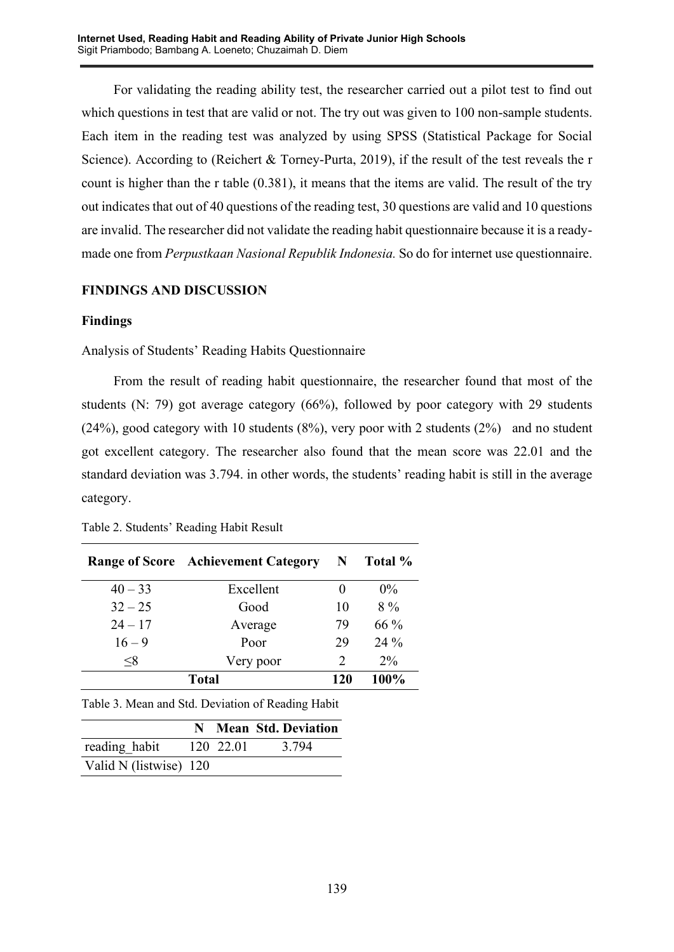For validating the reading ability test, the researcher carried out a pilot test to find out which questions in test that are valid or not. The try out was given to 100 non-sample students. Each item in the reading test was analyzed by using SPSS (Statistical Package for Social Science). According to (Reichert & Torney-Purta, 2019), if the result of the test reveals the r count is higher than the r table (0.381), it means that the items are valid. The result of the try out indicates that out of 40 questions of the reading test, 30 questions are valid and 10 questions are invalid. The researcher did not validate the reading habit questionnaire because it is a readymade one from *Perpustkaan Nasional Republik Indonesia.* So do for internet use questionnaire.

# **FINDINGS AND DISCUSSION**

## **Findings**

Analysis of Students' Reading Habits Questionnaire

From the result of reading habit questionnaire, the researcher found that most of the students (N: 79) got average category (66%), followed by poor category with 29 students (24%), good category with 10 students (8%), very poor with 2 students (2%) and no student got excellent category. The researcher also found that the mean score was 22.01 and the standard deviation was 3.794. in other words, the students' reading habit is still in the average category.

|           | <b>Range of Score</b> Achievement Category | $\mathbf N$                 | Total % |
|-----------|--------------------------------------------|-----------------------------|---------|
| $40 - 33$ | Excellent                                  |                             | $0\%$   |
| $32 - 25$ | Good                                       | 10                          | $8\%$   |
| $24 - 17$ | Average                                    | 79                          | $66\%$  |
| $16 - 9$  | Poor                                       | 29                          | $24\%$  |
| $<\!\!8$  | Very poor                                  | $\mathcal{D}_{\mathcal{L}}$ | $2\%$   |
| Total     |                                            | 120                         | 100%    |

Table 2. Students' Reading Habit Result

Table 3. Mean and Std. Deviation of Reading Habit

|                        |           | N Mean Std. Deviation |
|------------------------|-----------|-----------------------|
| reading habit          | 120 22.01 | 3.794                 |
| Valid N (listwise) 120 |           |                       |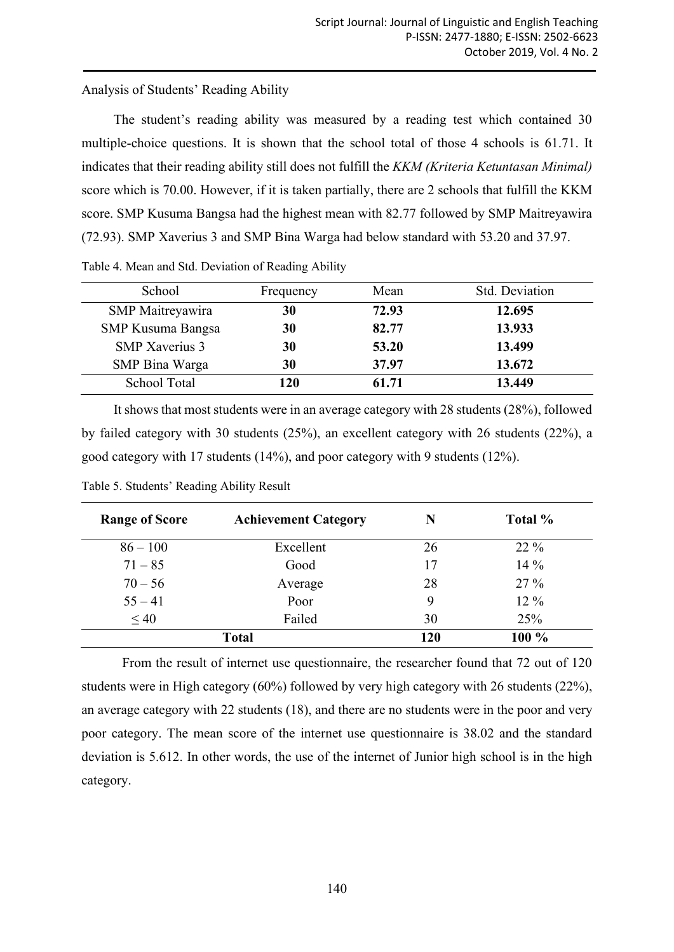Analysis of Students' Reading Ability

The student's reading ability was measured by a reading test which contained 30 multiple-choice questions. It is shown that the school total of those 4 schools is 61.71. It indicates that their reading ability still does not fulfill the *KKM (Kriteria Ketuntasan Minimal)* score which is 70.00. However, if it is taken partially, there are 2 schools that fulfill the KKM score. SMP Kusuma Bangsa had the highest mean with 82.77 followed by SMP Maitreyawira (72.93). SMP Xaverius 3 and SMP Bina Warga had below standard with 53.20 and 37.97.

| School                   | Frequency | Mean  | Std. Deviation |
|--------------------------|-----------|-------|----------------|
| SMP Maitreyawira         | 30        | 72.93 | 12.695         |
| <b>SMP Kusuma Bangsa</b> | 30        | 82.77 | 13.933         |
| <b>SMP</b> Xaverius 3    | 30        | 53.20 | 13.499         |
| SMP Bina Warga           | 30        | 37.97 | 13.672         |
| School Total             | 120       | 61.71 | 13.449         |

Table 4. Mean and Std. Deviation of Reading Ability

It shows that most students were in an average category with 28 students (28%), followed by failed category with 30 students (25%), an excellent category with 26 students (22%), a good category with 17 students (14%), and poor category with 9 students (12%).

| <b>Range of Score</b> | <b>Achievement Category</b> | N  | Total % |
|-----------------------|-----------------------------|----|---------|
| $86 - 100$            | Excellent                   | 26 | $22\%$  |
| $71 - 85$             | Good                        | 17 | $14\%$  |
| $70 - 56$             | Average                     | 28 | $27\%$  |
| $55 - 41$             | Poor                        | 9  | $12\%$  |
| $\leq 40$             | Failed                      | 30 | 25%     |
|                       |                             |    |         |

Table 5. Students' Reading Ability Result

From the result of internet use questionnaire, the researcher found that 72 out of 120 students were in High category (60%) followed by very high category with 26 students (22%), an average category with 22 students (18), and there are no students were in the poor and very poor category. The mean score of the internet use questionnaire is 38.02 and the standard deviation is 5.612. In other words, the use of the internet of Junior high school is in the high category.

**Total 120 100 %**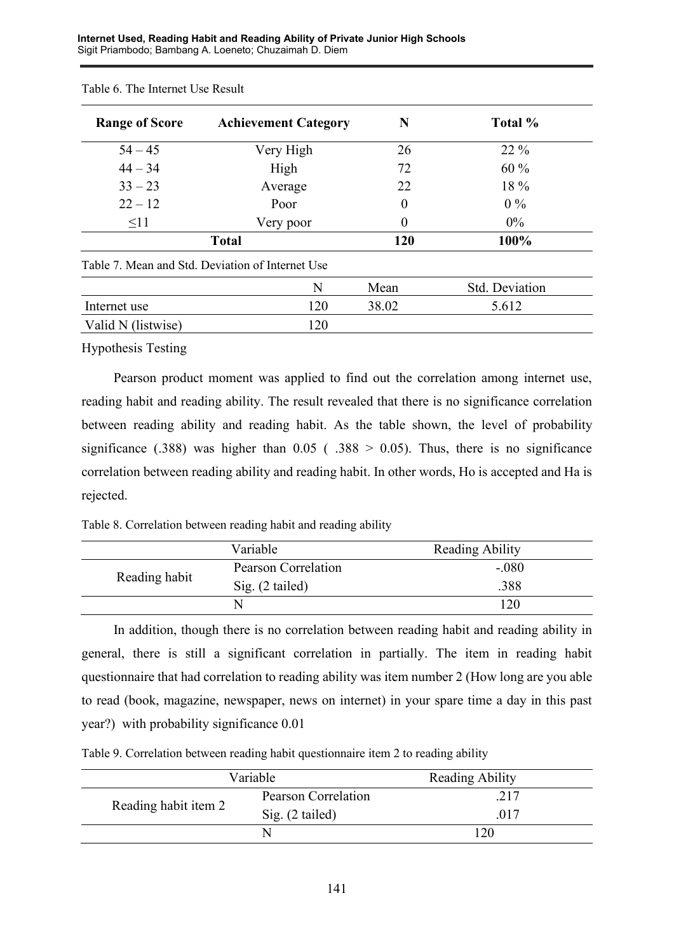| <b>Range of Score</b> | <b>Achievement Category</b>                      | N     | Total %        |
|-----------------------|--------------------------------------------------|-------|----------------|
| $54 - 45$             | Very High                                        | 26    | $22\%$         |
| $44 - 34$             | High                                             | 72    | $60\%$         |
| $33 - 23$             | Average                                          | 22    | 18 %           |
| $22 - 12$             | Poor                                             | 0     | $0\%$          |
| $\leq$ 11             | Very poor                                        | 0     | $0\%$          |
|                       | <b>Total</b>                                     | 120   | 100%           |
|                       | Table 7. Mean and Std. Deviation of Internet Use |       |                |
|                       | N                                                | Mean  | Std. Deviation |
| Internet use          | 120                                              | 38.02 | 5.612          |
| Valid N (listwise)    | 120                                              |       |                |

#### Table 6. The Internet Use Result

Hypothesis Testing

Pearson product moment was applied to find out the correlation among internet use, reading habit and reading ability. The result revealed that there is no significance correlation between reading ability and reading habit. As the table shown, the level of probability significance (.388) was higher than  $0.05$  (.388 > 0.05). Thus, there is no significance correlation between reading ability and reading habit. In other words, Ho is accepted and Ha is rejected.

Table 8. Correlation between reading habit and reading ability

|               | Variable            | <b>Reading Ability</b> |
|---------------|---------------------|------------------------|
|               | Pearson Correlation | $-.080$                |
| Reading habit | Sig. (2 tailed)     | .388                   |
|               |                     | 120                    |

In addition, though there is no correlation between reading habit and reading ability in general, there is still a significant correlation in partially. The item in reading habit questionnaire that had correlation to reading ability was item number 2 (How long are you able to read (book, magazine, newspaper, news on internet) in your spare time a day in this past year?) with probability significance 0.01

Table 9. Correlation between reading habit questionnaire item 2 to reading ability

| Variable             |                     | Reading Ability |
|----------------------|---------------------|-----------------|
| Reading habit item 2 | Pearson Correlation | .217            |
|                      | Sig. (2 tailed)     | .017            |
|                      |                     |                 |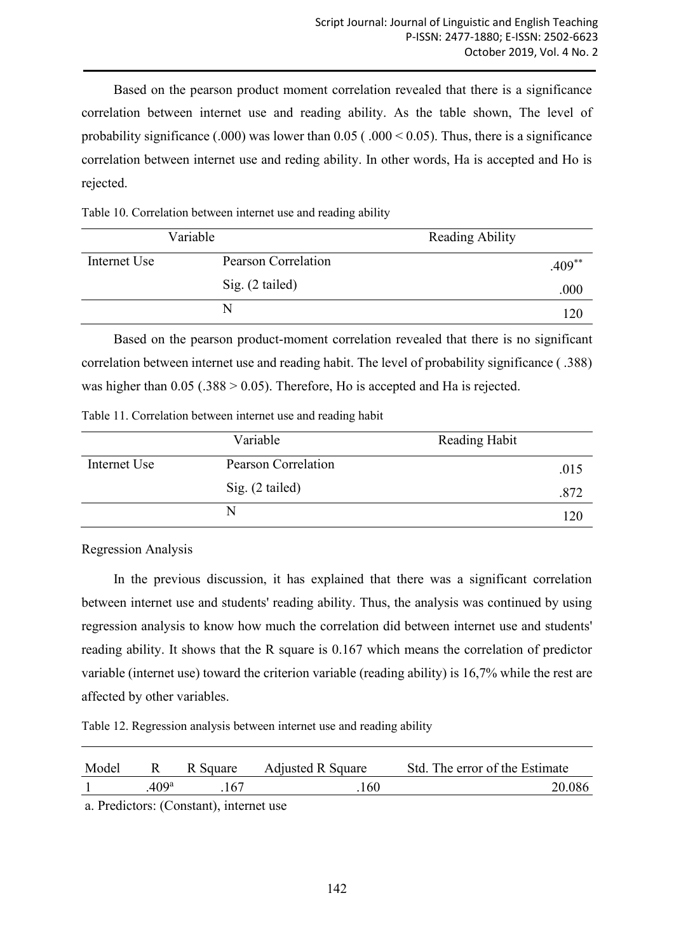Based on the pearson product moment correlation revealed that there is a significance correlation between internet use and reading ability. As the table shown, The level of probability significance (.000) was lower than  $0.05$  (.000 < 0.05). Thus, there is a significance correlation between internet use and reding ability. In other words, Ha is accepted and Ho is rejected.

Table 10. Correlation between internet use and reading ability

|              | Variable            | Reading Ability |
|--------------|---------------------|-----------------|
| Internet Use | Pearson Correlation | $.409***$       |
|              | Sig. (2 tailed)     | .000            |
|              |                     | 120             |

Based on the pearson product-moment correlation revealed that there is no significant correlation between internet use and reading habit. The level of probability significance ( .388) was higher than  $0.05$  (.388 > 0.05). Therefore, Ho is accepted and Ha is rejected.

#### Table 11. Correlation between internet use and reading habit

|              | Variable            | Reading Habit |
|--------------|---------------------|---------------|
| Internet Use | Pearson Correlation | .015          |
|              | Sig. (2 tailed)     | .872          |
|              | N                   |               |

Regression Analysis

In the previous discussion, it has explained that there was a significant correlation between internet use and students' reading ability. Thus, the analysis was continued by using regression analysis to know how much the correlation did between internet use and students' reading ability. It shows that the R square is 0.167 which means the correlation of predictor variable (internet use) toward the criterion variable (reading ability) is 16,7% while the rest are affected by other variables.

Table 12. Regression analysis between internet use and reading ability

| Model |                   | R Square | <b>Adjusted R Square</b> | Std. The error of the Estimate |
|-------|-------------------|----------|--------------------------|--------------------------------|
|       | .409 <sup>a</sup> | 167      | 160                      | 20.086                         |

a. Predictors: (Constant), internet use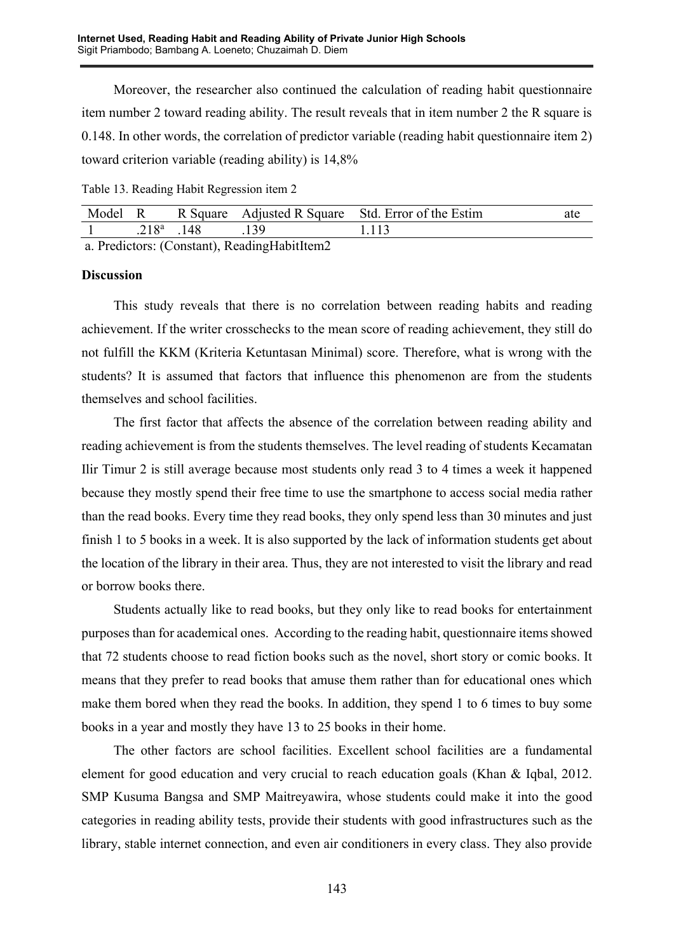Moreover, the researcher also continued the calculation of reading habit questionnaire item number 2 toward reading ability. The result reveals that in item number 2 the R square is 0.148. In other words, the correlation of predictor variable (reading habit questionnaire item 2) toward criterion variable (reading ability) is 14,8%

Table 13. Reading Habit Regression item 2

|               |       | Model R R Square Adjusted R Square Std. Error of the Estim | ate |
|---------------|-------|------------------------------------------------------------|-----|
| $718^a$ $148$ | - 139 | 1.113                                                      |     |

a. Predictors: (Constant), ReadingHabitItem2

#### **Discussion**

This study reveals that there is no correlation between reading habits and reading achievement. If the writer crosschecks to the mean score of reading achievement, they still do not fulfill the KKM (Kriteria Ketuntasan Minimal) score. Therefore, what is wrong with the students? It is assumed that factors that influence this phenomenon are from the students themselves and school facilities.

The first factor that affects the absence of the correlation between reading ability and reading achievement is from the students themselves. The level reading of students Kecamatan Ilir Timur 2 is still average because most students only read 3 to 4 times a week it happened because they mostly spend their free time to use the smartphone to access social media rather than the read books. Every time they read books, they only spend less than 30 minutes and just finish 1 to 5 books in a week. It is also supported by the lack of information students get about the location of the library in their area. Thus, they are not interested to visit the library and read or borrow books there.

Students actually like to read books, but they only like to read books for entertainment purposes than for academical ones. According to the reading habit, questionnaire items showed that 72 students choose to read fiction books such as the novel, short story or comic books. It means that they prefer to read books that amuse them rather than for educational ones which make them bored when they read the books. In addition, they spend 1 to 6 times to buy some books in a year and mostly they have 13 to 25 books in their home.

The other factors are school facilities. Excellent school facilities are a fundamental element for good education and very crucial to reach education goals (Khan & Iqbal, 2012. SMP Kusuma Bangsa and SMP Maitreyawira, whose students could make it into the good categories in reading ability tests, provide their students with good infrastructures such as the library, stable internet connection, and even air conditioners in every class. They also provide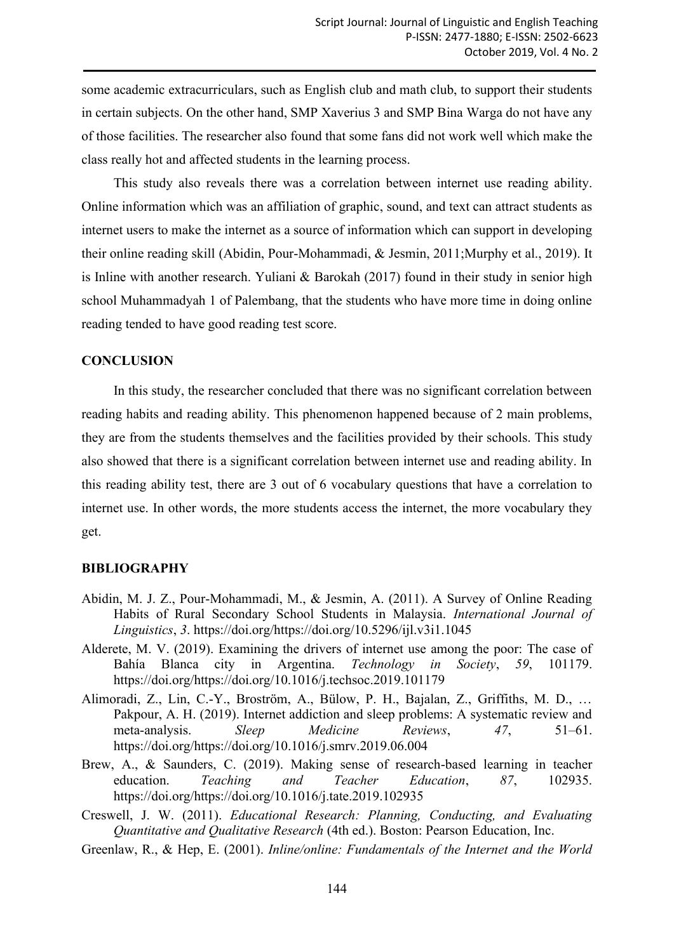some academic extracurriculars, such as English club and math club, to support their students in certain subjects. On the other hand, SMP Xaverius 3 and SMP Bina Warga do not have any of those facilities. The researcher also found that some fans did not work well which make the class really hot and affected students in the learning process.

This study also reveals there was a correlation between internet use reading ability. Online information which was an affiliation of graphic, sound, and text can attract students as internet users to make the internet as a source of information which can support in developing their online reading skill (Abidin, Pour-Mohammadi, & Jesmin, 2011;Murphy et al., 2019). It is Inline with another research. Yuliani & Barokah (2017) found in their study in senior high school Muhammadyah 1 of Palembang, that the students who have more time in doing online reading tended to have good reading test score.

## **CONCLUSION**

In this study, the researcher concluded that there was no significant correlation between reading habits and reading ability. This phenomenon happened because of 2 main problems, they are from the students themselves and the facilities provided by their schools. This study also showed that there is a significant correlation between internet use and reading ability. In this reading ability test, there are 3 out of 6 vocabulary questions that have a correlation to internet use. In other words, the more students access the internet, the more vocabulary they get.

#### **BIBLIOGRAPHY**

- Abidin, M. J. Z., Pour-Mohammadi, M., & Jesmin, A. (2011). A Survey of Online Reading Habits of Rural Secondary School Students in Malaysia. *International Journal of Linguistics*, *3*. https://doi.org/https://doi.org/10.5296/ijl.v3i1.1045
- Alderete, M. V. (2019). Examining the drivers of internet use among the poor: The case of Bahía Blanca city in Argentina. *Technology in Society*, *59*, 101179. https://doi.org/https://doi.org/10.1016/j.techsoc.2019.101179
- Alimoradi, Z., Lin, C.-Y., Broström, A., Bülow, P. H., Bajalan, Z., Griffiths, M. D., … Pakpour, A. H. (2019). Internet addiction and sleep problems: A systematic review and meta-analysis. *Sleep Medicine Reviews*, *47*, 51–61. https://doi.org/https://doi.org/10.1016/j.smrv.2019.06.004
- Brew, A., & Saunders, C. (2019). Making sense of research-based learning in teacher education. *Teaching and Teacher Education*, *87*, 102935. https://doi.org/https://doi.org/10.1016/j.tate.2019.102935
- Creswell, J. W. (2011). *Educational Research: Planning, Conducting, and Evaluating Quantitative and Qualitative Research* (4th ed.). Boston: Pearson Education, Inc.
- Greenlaw, R., & Hep, E. (2001). *Inline/online: Fundamentals of the Internet and the World*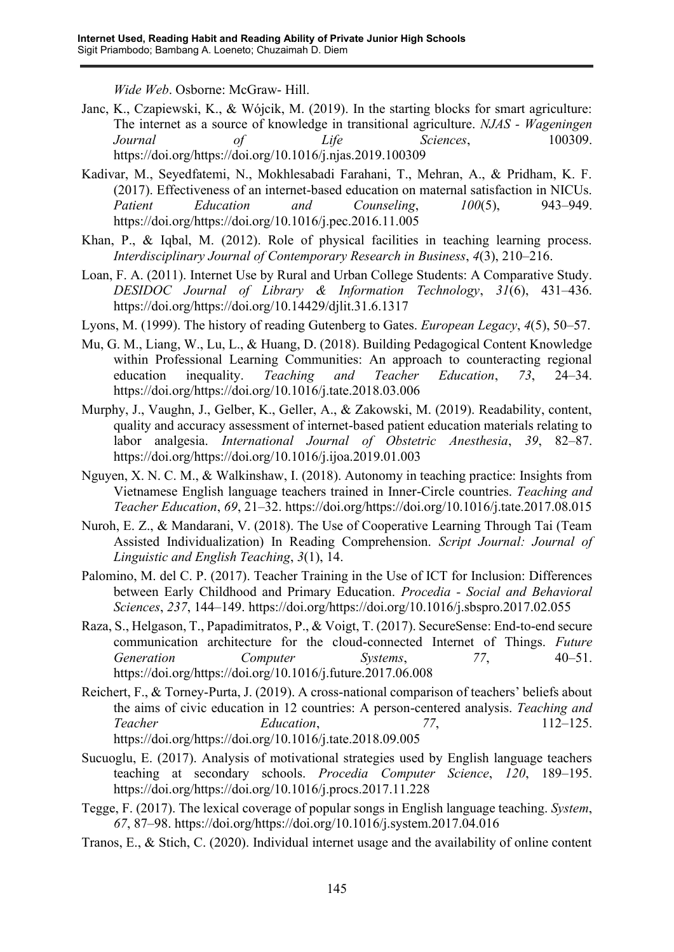*Wide Web*. Osborne: McGraw- Hill.

- Janc, K., Czapiewski, K., & Wójcik, M. (2019). In the starting blocks for smart agriculture: The internet as a source of knowledge in transitional agriculture. *NJAS - Wageningen Journal of Life Sciences*, 100309. https://doi.org/https://doi.org/10.1016/j.njas.2019.100309
- Kadivar, M., Seyedfatemi, N., Mokhlesabadi Farahani, T., Mehran, A., & Pridham, K. F. (2017). Effectiveness of an internet-based education on maternal satisfaction in NICUs. *Patient Education and Counseling*, *100*(5), 943–949. https://doi.org/https://doi.org/10.1016/j.pec.2016.11.005
- Khan, P., & Iqbal, M. (2012). Role of physical facilities in teaching learning process. *Interdisciplinary Journal of Contemporary Research in Business*, *4*(3), 210–216.
- Loan, F. A. (2011). Internet Use by Rural and Urban College Students: A Comparative Study. *DESIDOC Journal of Library & Information Technology*, *31*(6), 431–436. https://doi.org/https://doi.org/10.14429/djlit.31.6.1317
- Lyons, M. (1999). The history of reading Gutenberg to Gates. *European Legacy*, *4*(5), 50–57.
- Mu, G. M., Liang, W., Lu, L., & Huang, D. (2018). Building Pedagogical Content Knowledge within Professional Learning Communities: An approach to counteracting regional education inequality. *Teaching and Teacher Education*, *73*, 24–34. https://doi.org/https://doi.org/10.1016/j.tate.2018.03.006
- Murphy, J., Vaughn, J., Gelber, K., Geller, A., & Zakowski, M. (2019). Readability, content, quality and accuracy assessment of internet-based patient education materials relating to labor analgesia. *International Journal of Obstetric Anesthesia*, *39*, 82–87. https://doi.org/https://doi.org/10.1016/j.ijoa.2019.01.003
- Nguyen, X. N. C. M., & Walkinshaw, I. (2018). Autonomy in teaching practice: Insights from Vietnamese English language teachers trained in Inner-Circle countries. *Teaching and Teacher Education*, *69*, 21–32. https://doi.org/https://doi.org/10.1016/j.tate.2017.08.015
- Nuroh, E. Z., & Mandarani, V. (2018). The Use of Cooperative Learning Through Tai (Team Assisted Individualization) In Reading Comprehension. *Script Journal: Journal of Linguistic and English Teaching*, *3*(1), 14.
- Palomino, M. del C. P. (2017). Teacher Training in the Use of ICT for Inclusion: Differences between Early Childhood and Primary Education. *Procedia - Social and Behavioral Sciences*, *237*, 144–149. https://doi.org/https://doi.org/10.1016/j.sbspro.2017.02.055
- Raza, S., Helgason, T., Papadimitratos, P., & Voigt, T. (2017). SecureSense: End-to-end secure communication architecture for the cloud-connected Internet of Things. *Future Generation Computer Systems*, *77*, 40–51. https://doi.org/https://doi.org/10.1016/j.future.2017.06.008
- Reichert, F., & Torney-Purta, J. (2019). A cross-national comparison of teachers' beliefs about the aims of civic education in 12 countries: A person-centered analysis. *Teaching and Teacher Education*, *77*, 112–125. https://doi.org/https://doi.org/10.1016/j.tate.2018.09.005
- Sucuoglu, E. (2017). Analysis of motivational strategies used by English language teachers teaching at secondary schools. *Procedia Computer Science*, *120*, 189–195. https://doi.org/https://doi.org/10.1016/j.procs.2017.11.228
- Tegge, F. (2017). The lexical coverage of popular songs in English language teaching. *System*, *67*, 87–98. https://doi.org/https://doi.org/10.1016/j.system.2017.04.016
- Tranos, E., & Stich, C. (2020). Individual internet usage and the availability of online content